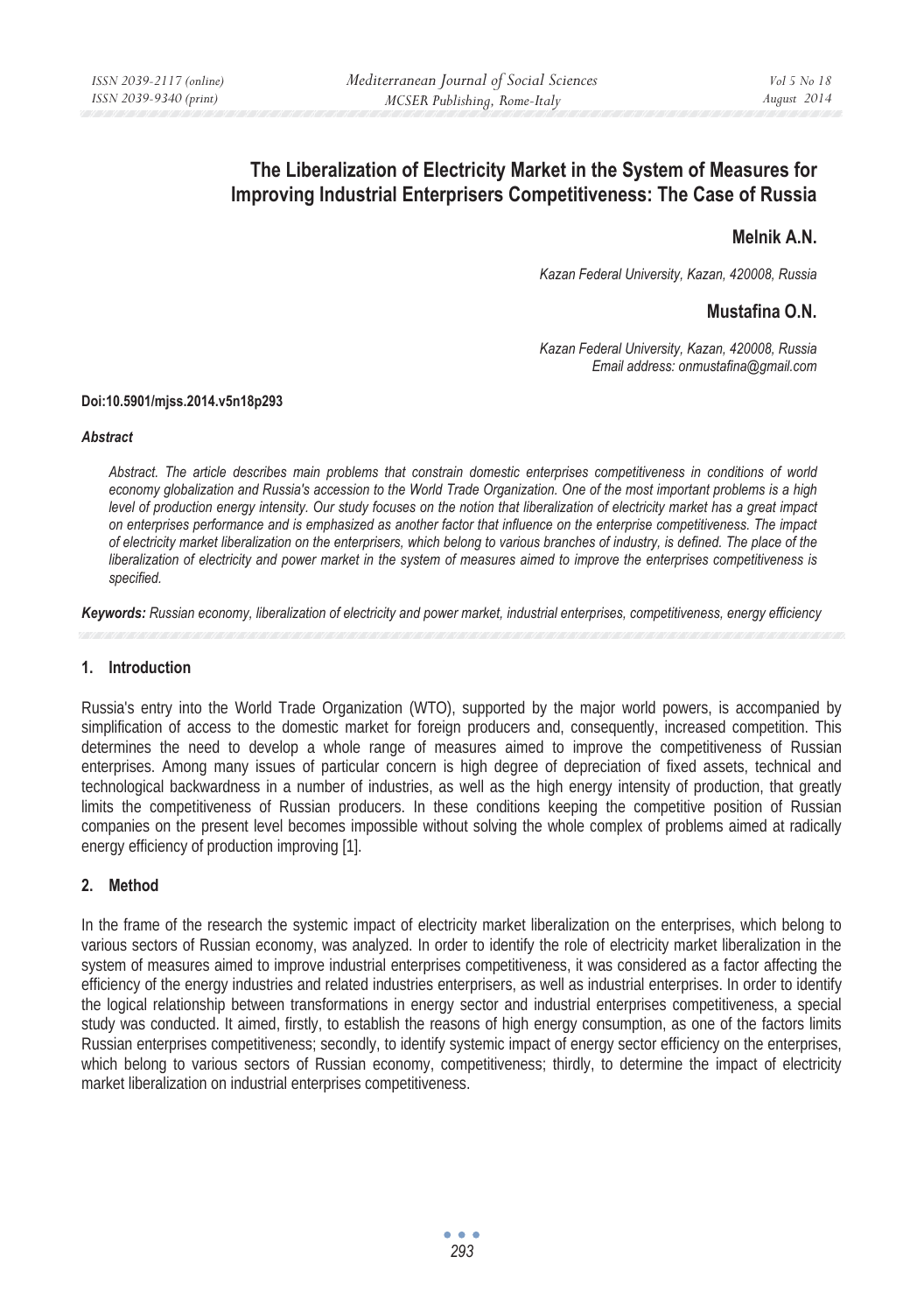# **The Liberalization of Electricity Market in the System of Measures for Improving Industrial Enterprisers Competitiveness: The Case of Russia**

# **Melnik A.N.**

*Kazan Federal University, Kazan, 420008, Russia* 

# **Mustafina O.N.**

*Kazan Federal University, Kazan, 420008, Russia Email address: onmustafina@gmail.com* 

#### **Doi:10.5901/mjss.2014.v5n18p293**

#### *Abstract*

*Abstract. The article describes main problems that constrain domestic enterprises competitiveness in conditions of world economy globalization and Russia's accession to the World Trade Organization. One of the most important problems is a high level of production energy intensity. Our study focuses on the notion that liberalization of electricity market has a great impact on enterprises performance and is emphasized as another factor that influence on the enterprise competitiveness. The impact of electricity market liberalization on the enterprisers, which belong to various branches of industry, is defined. The place of the liberalization of electricity and power market in the system of measures aimed to improve the enterprises competitiveness is specified.* 

*Keywords: Russian economy, liberalization of electricity and power market, industrial enterprises, competitiveness, energy efficiency* 

#### **1. Introduction**

Russia's entry into the World Trade Organization (WTO), supported by the major world powers, is accompanied by simplification of access to the domestic market for foreign producers and, consequently, increased competition. This determines the need to develop a whole range of measures aimed to improve the competitiveness of Russian enterprises. Among many issues of particular concern is high degree of depreciation of fixed assets, technical and technological backwardness in a number of industries, as well as the high energy intensity of production, that greatly limits the competitiveness of Russian producers. In these conditions keeping the competitive position of Russian companies on the present level becomes impossible without solving the whole complex of problems aimed at radically energy efficiency of production improving [1].

#### **2. Method**

In the frame of the research the systemic impact of electricity market liberalization on the enterprises, which belong to various sectors of Russian economy, was analyzed. In order to identify the role of electricity market liberalization in the system of measures aimed to improve industrial enterprises competitiveness, it was considered as a factor affecting the efficiency of the energy industries and related industries enterprisers, as well as industrial enterprises. In order to identify the logical relationship between transformations in energy sector and industrial enterprises competitiveness, a special study was conducted. It aimed, firstly, to establish the reasons of high energy consumption, as one of the factors limits Russian enterprises competitiveness; secondly, to identify systemic impact of energy sector efficiency on the enterprises, which belong to various sectors of Russian economy, competitiveness; thirdly, to determine the impact of electricity market liberalization on industrial enterprises competitiveness.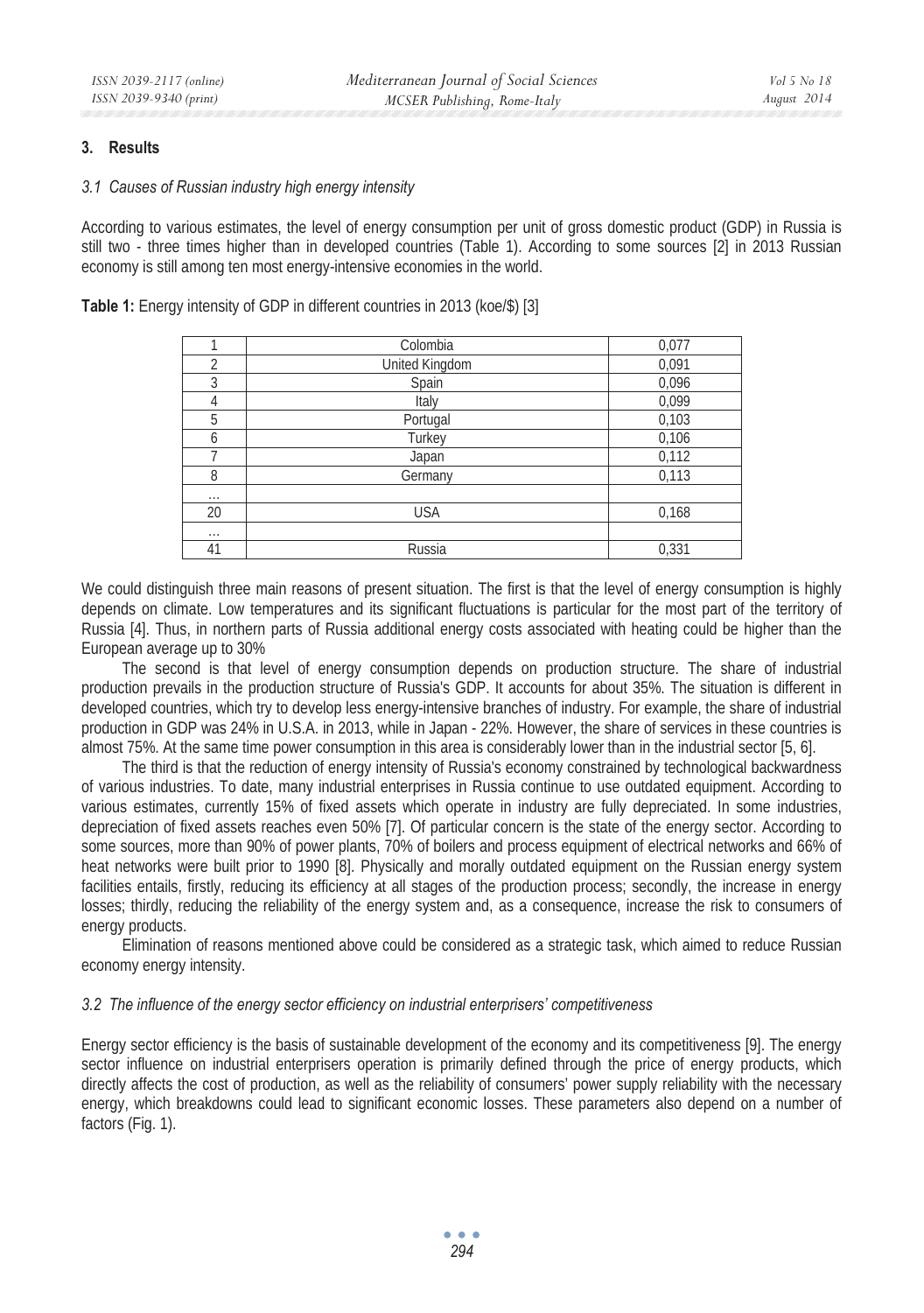#### **3. Results**

#### *3.1 Causes of Russian industry high energy intensity*

According to various estimates, the level of energy consumption per unit of gross domestic product (GDP) in Russia is still two - three times higher than in developed countries (Table 1). According to some sources [2] in 2013 Russian economy is still among ten most energy-intensive economies in the world.

|                | Colombia              | 0,077 |
|----------------|-----------------------|-------|
| $\overline{2}$ | <b>United Kingdom</b> | 0,091 |
| 3              | Spain                 | 0,096 |
| 4              | Italy                 | 0,099 |
| 5              | Portugal              | 0,103 |
| 6              | Turkey                | 0,106 |
|                | Japan                 | 0,112 |
| 8              | Germany               | 0,113 |
| $\cdots$       |                       |       |
| 20             | <b>USA</b>            | 0,168 |
| $\cdots$       |                       |       |
| 41             | Russia                | 0,331 |

**Table 1:** Energy intensity of GDP in different countries in 2013 (koe/\$) [3]

We could distinguish three main reasons of present situation. The first is that the level of energy consumption is highly depends on climate. Low temperatures and its significant fluctuations is particular for the most part of the territory of Russia [4]. Thus, in northern parts of Russia additional energy costs associated with heating could be higher than the European average up to 30%

The second is that level of energy consumption depends on production structure. The share of industrial production prevails in the production structure of Russia's GDP. It accounts for about 35%. The situation is different in developed countries, which try to develop less energy-intensive branches of industry. For example, the share of industrial production in GDP was 24% in U.S.A. in 2013, while in Japan - 22%. However, the share of services in these countries is almost 75%. At the same time power consumption in this area is considerably lower than in the industrial sector [5, 6].

The third is that the reduction of energy intensity of Russia's economy constrained by technological backwardness of various industries. To date, many industrial enterprises in Russia continue to use outdated equipment. According to various estimates, currently 15% of fixed assets which operate in industry are fully depreciated. In some industries, depreciation of fixed assets reaches even 50% [7]. Of particular concern is the state of the energy sector. According to some sources, more than 90% of power plants, 70% of boilers and process equipment of electrical networks and 66% of heat networks were built prior to 1990 [8]. Physically and morally outdated equipment on the Russian energy system facilities entails, firstly, reducing its efficiency at all stages of the production process; secondly, the increase in energy losses; thirdly, reducing the reliability of the energy system and, as a consequence, increase the risk to consumers of energy products.

Elimination of reasons mentioned above could be considered as a strategic task, which aimed to reduce Russian economy energy intensity.

#### *3.2 The influence of the energy sector efficiency on industrial enterprisers' competitiveness*

Energy sector efficiency is the basis of sustainable development of the economy and its competitiveness [9]. The energy sector influence on industrial enterprisers operation is primarily defined through the price of energy products, which directly affects the cost of production, as well as the reliability of consumers' power supply reliability with the necessary energy, which breakdowns could lead to significant economic losses. These parameters also depend on a number of factors (Fig. 1).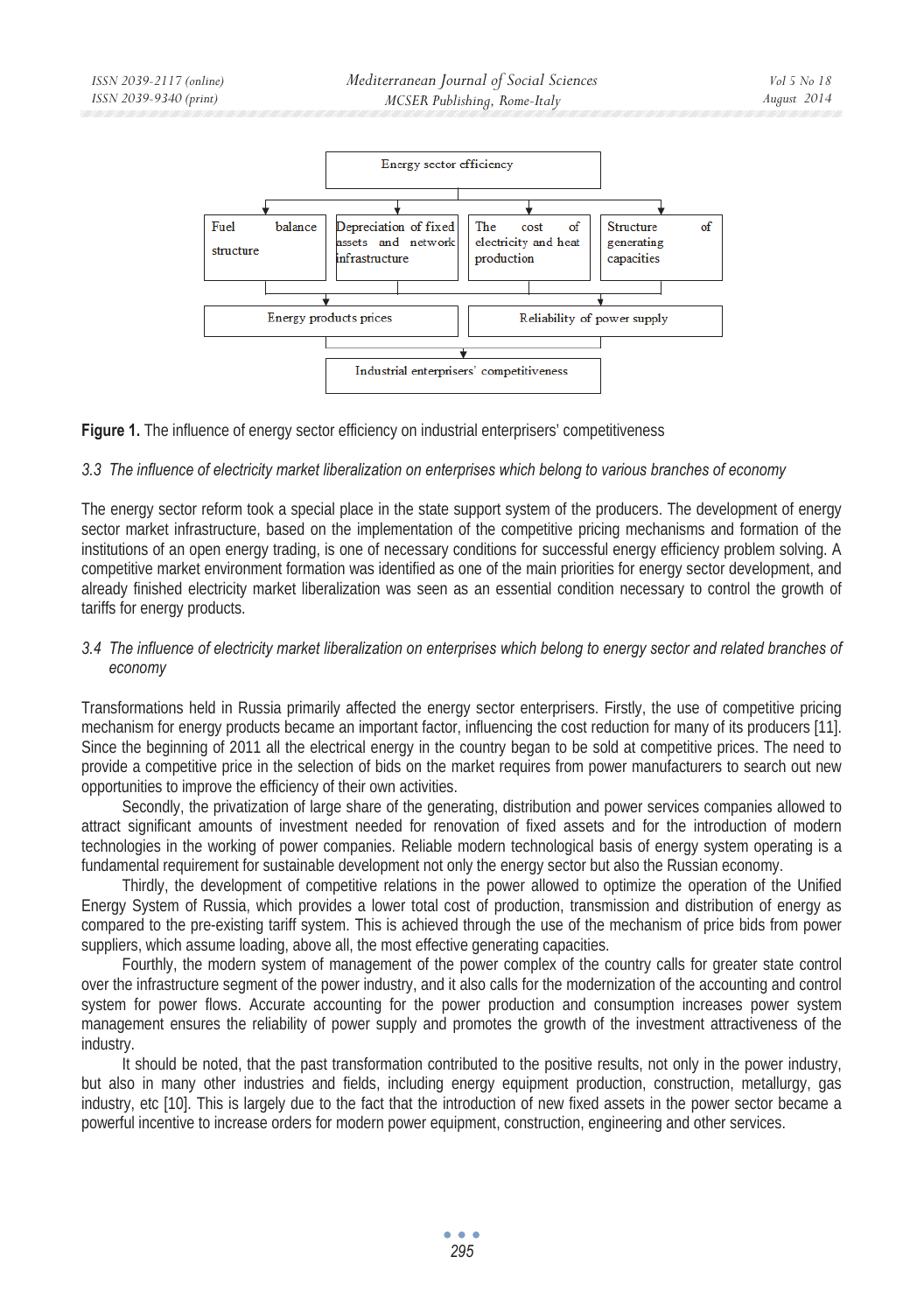

**Figure 1.** The influence of energy sector efficiency on industrial enterprisers' competitiveness

## *3.3 The influence of electricity market liberalization on enterprises which belong to various branches of economy*

The energy sector reform took a special place in the state support system of the producers. The development of energy sector market infrastructure, based on the implementation of the competitive pricing mechanisms and formation of the institutions of an open energy trading, is one of necessary conditions for successful energy efficiency problem solving. A competitive market environment formation was identified as one of the main priorities for energy sector development, and already finished electricity market liberalization was seen as an essential condition necessary to control the growth of tariffs for energy products.

## *3.4 The influence of electricity market liberalization on enterprises which belong to energy sector and related branches of economy*

Transformations held in Russia primarily affected the energy sector enterprisers. Firstly, the use of competitive pricing mechanism for energy products became an important factor, influencing the cost reduction for many of its producers [11]. Since the beginning of 2011 all the electrical energy in the country began to be sold at competitive prices. The need to provide a competitive price in the selection of bids on the market requires from power manufacturers to search out new opportunities to improve the efficiency of their own activities.

Secondly, the privatization of large share of the generating, distribution and power services companies allowed to attract significant amounts of investment needed for renovation of fixed assets and for the introduction of modern technologies in the working of power companies. Reliable modern technological basis of energy system operating is a fundamental requirement for sustainable development not only the energy sector but also the Russian economy.

Thirdly, the development of competitive relations in the power allowed to optimize the operation of the Unified Energy System of Russia, which provides a lower total cost of production, transmission and distribution of energy as compared to the pre-existing tariff system. This is achieved through the use of the mechanism of price bids from power suppliers, which assume loading, above all, the most effective generating capacities.

Fourthly, the modern system of management of the power complex of the country calls for greater state control over the infrastructure segment of the power industry, and it also calls for the modernization of the accounting and control system for power flows. Accurate accounting for the power production and consumption increases power system management ensures the reliability of power supply and promotes the growth of the investment attractiveness of the industry.

It should be noted, that the past transformation contributed to the positive results, not only in the power industry, but also in many other industries and fields, including energy equipment production, construction, metallurgy, gas industry, etc [10]. This is largely due to the fact that the introduction of new fixed assets in the power sector became a powerful incentive to increase orders for modern power equipment, construction, engineering and other services.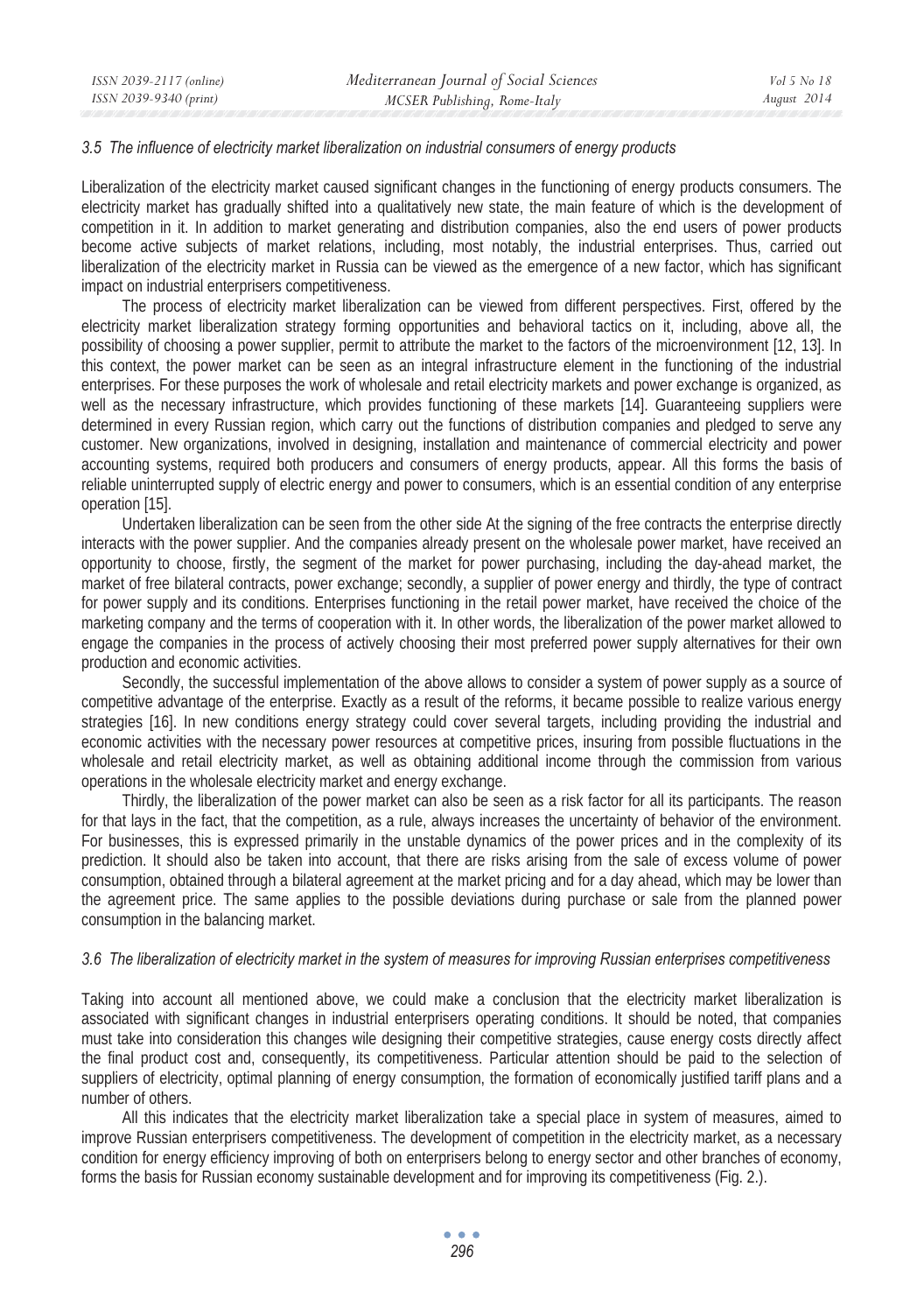#### *3.5 The influence of electricity market liberalization on industrial consumers of energy products*

Liberalization of the electricity market caused significant changes in the functioning of energy products consumers. The electricity market has gradually shifted into a qualitatively new state, the main feature of which is the development of competition in it. In addition to market generating and distribution companies, also the end users of power products become active subjects of market relations, including, most notably, the industrial enterprises. Thus, carried out liberalization of the electricity market in Russia can be viewed as the emergence of a new factor, which has significant impact on industrial enterprisers competitiveness.

The process of electricity market liberalization can be viewed from different perspectives. First, offered by the electricity market liberalization strategy forming opportunities and behavioral tactics on it, including, above all, the possibility of choosing a power supplier, permit to attribute the market to the factors of the microenvironment [12, 13]. In this context, the power market can be seen as an integral infrastructure element in the functioning of the industrial enterprises. For these purposes the work of wholesale and retail electricity markets and power exchange is organized, as well as the necessary infrastructure, which provides functioning of these markets [14]. Guaranteeing suppliers were determined in every Russian region, which carry out the functions of distribution companies and pledged to serve any customer. New organizations, involved in designing, installation and maintenance of commercial electricity and power accounting systems, required both producers and consumers of energy products, appear. All this forms the basis of reliable uninterrupted supply of electric energy and power to consumers, which is an essential condition of any enterprise operation [15].

Undertaken liberalization can be seen from the other side At the signing of the free contracts the enterprise directly interacts with the power supplier. And the companies already present on the wholesale power market, have received an opportunity to choose, firstly, the segment of the market for power purchasing, including the day-ahead market, the market of free bilateral contracts, power exchange; secondly, a supplier of power energy and thirdly, the type of contract for power supply and its conditions. Enterprises functioning in the retail power market, have received the choice of the marketing company and the terms of cooperation with it. In other words, the liberalization of the power market allowed to engage the companies in the process of actively choosing their most preferred power supply alternatives for their own production and economic activities.

Secondly, the successful implementation of the above allows to consider a system of power supply as a source of competitive advantage of the enterprise. Exactly as a result of the reforms, it became possible to realize various energy strategies [16]. In new conditions energy strategy could cover several targets, including providing the industrial and economic activities with the necessary power resources at competitive prices, insuring from possible fluctuations in the wholesale and retail electricity market, as well as obtaining additional income through the commission from various operations in the wholesale electricity market and energy exchange.

Thirdly, the liberalization of the power market can also be seen as a risk factor for all its participants. The reason for that lays in the fact, that the competition, as a rule, always increases the uncertainty of behavior of the environment. For businesses, this is expressed primarily in the unstable dynamics of the power prices and in the complexity of its prediction. It should also be taken into account, that there are risks arising from the sale of excess volume of power consumption, obtained through a bilateral agreement at the market pricing and for a day ahead, which may be lower than the agreement price. The same applies to the possible deviations during purchase or sale from the planned power consumption in the balancing market.

#### *3.6 The liberalization of electricity market in the system of measures for improving Russian enterprises competitiveness*

Taking into account all mentioned above, we could make a conclusion that the electricity market liberalization is associated with significant changes in industrial enterprisers operating conditions. It should be noted, that companies must take into consideration this changes wile designing their competitive strategies, cause energy costs directly affect the final product cost and, consequently, its competitiveness. Particular attention should be paid to the selection of suppliers of electricity, optimal planning of energy consumption, the formation of economically justified tariff plans and a number of others.

All this indicates that the electricity market liberalization take a special place in system of measures, aimed to improve Russian enterprisers competitiveness. The development of competition in the electricity market, as a necessary condition for energy efficiency improving of both on enterprisers belong to energy sector and other branches of economy, forms the basis for Russian economy sustainable development and for improving its competitiveness (Fig. 2.).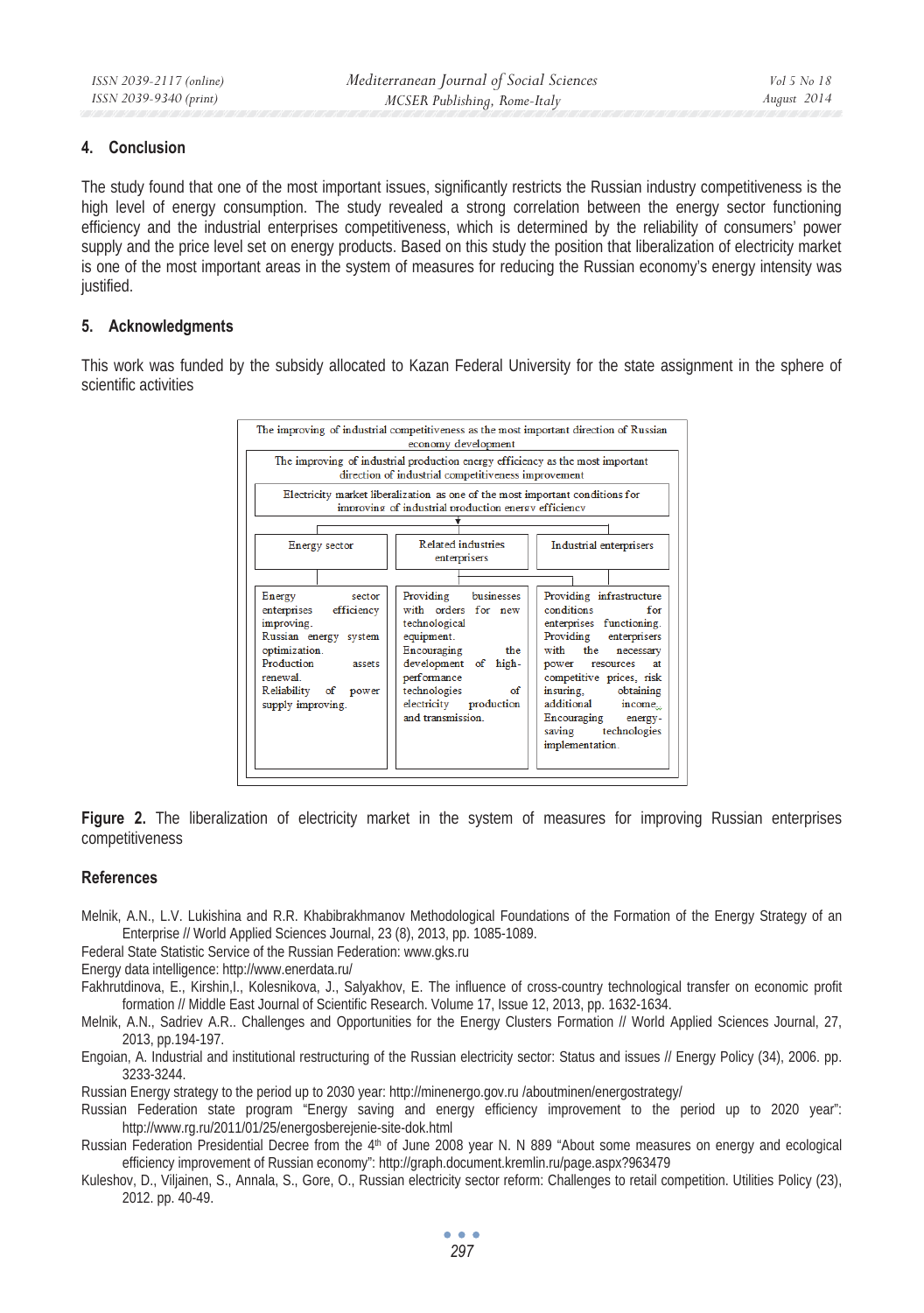## **4. Conclusion**

The study found that one of the most important issues, significantly restricts the Russian industry competitiveness is the high level of energy consumption. The study revealed a strong correlation between the energy sector functioning efficiency and the industrial enterprises competitiveness, which is determined by the reliability of consumers' power supply and the price level set on energy products. Based on this study the position that liberalization of electricity market is one of the most important areas in the system of measures for reducing the Russian economy's energy intensity was justified.

## **5. Acknowledgments**

This work was funded by the subsidy allocated to Kazan Federal University for the state assignment in the sphere of scientific activities



**Figure 2.** The liberalization of electricity market in the system of measures for improving Russian enterprises competitiveness

#### **References**

- Melnik, A.N., L.V. Lukishina and R.R. Khabibrakhmanov Methodological Foundations of the Formation of the Energy Strategy of an Enterprise // World Applied Sciences Journal, 23 (8), 2013, pp. 1085-1089.
- Federal State Statistic Service of the Russian Federation: www.gks.ru
- Energy data intelligence: http://www.enerdata.ru/

Fakhrutdinova, E., Kirshin,I., Kolesnikova, J., Salyakhov, E. The influence of cross-country technological transfer on economic profit formation // Middle East Journal of Scientific Research. Volume 17, Issue 12, 2013, pp. 1632-1634.

Melnik, A.N., Sadriev A.R.. Challenges and Opportunities for the Energy Clusters Formation // World Applied Sciences Journal, 27, 2013, pp.194-197.

Engoian, A. Industrial and institutional restructuring of the Russian electricity sector: Status and issues // Energy Policy (34), 2006. pp. 3233-3244.

Russian Energy strategy to the period up to 2030 year: http://minenergo.gov.ru /aboutminen/energostrategy/

Russian Federation state program "Energy saving and energy efficiency improvement to the period up to 2020 year": http://www.rg.ru/2011/01/25/energosberejenie-site-dok.html

Russian Federation Presidential Decree from the 4<sup>th</sup> of June 2008 year N. N 889 "About some measures on energy and ecological efficiency improvement of Russian economy": http://graph.document.kremlin.ru/page.aspx?963479

Kuleshov, D., Viljainen, S., Annala, S., Gore, O., Russian electricity sector reform: Challenges to retail competition. Utilities Policy (23), 2012. pp. 40-49.